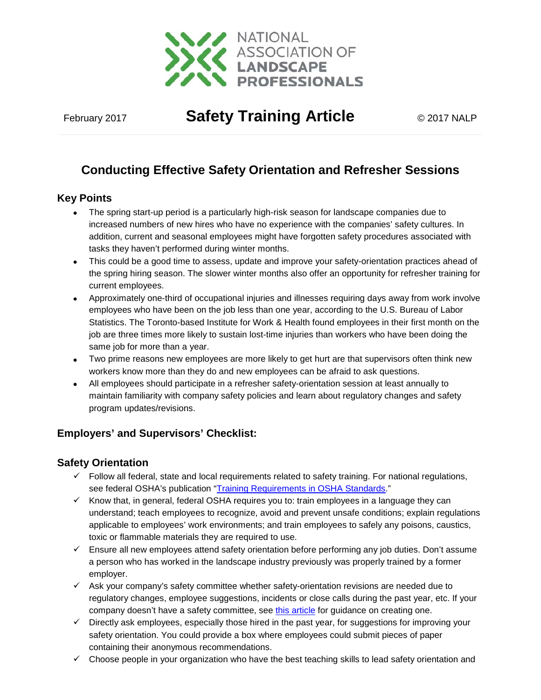

February <sup>2017</sup> **Safety Training Article** © 2017 NALP

# **Conducting Effective Safety Orientation and Refresher Sessions**

## **Key Points**

- The spring start-up period is a particularly high-risk season for landscape companies due to increased numbers of new hires who have no experience with the companies' safety cultures. In addition, current and seasonal employees might have forgotten safety procedures associated with tasks they haven't performed during winter months.
- This could be a good time to assess, update and improve your safety-orientation practices ahead of the spring hiring season. The slower winter months also offer an opportunity for refresher training for current employees.
- Approximately one-third of occupational injuries and illnesses requiring days away from work involve employees who have been on the job less than one year, according to the U.S. Bureau of Labor Statistics. The Toronto-based Institute for Work & Health found employees in their first month on the job are three times more likely to sustain lost-time injuries than workers who have been doing the same job for more than a year.
- Two prime reasons new employees are more likely to get hurt are that supervisors often think new workers know more than they do and new employees can be afraid to ask questions.
- All employees should participate in a refresher safety-orientation session at least annually to maintain familiarity with company safety policies and learn about regulatory changes and safety program updates/revisions.

# **Employers' and Supervisors' Checklist:**

### **Safety Orientation**

- $\checkmark$  Follow all federal, state and local requirements related to safety training. For national regulations, see federal OSHA's publication ["Training Requirements in OSHA Standards.](https://www.osha.gov/Publications/osha2254.pdf)"
- $\checkmark$  Know that, in general, federal OSHA requires you to: train employees in a language they can understand; teach employees to recognize, avoid and prevent unsafe conditions; explain regulations applicable to employees' work environments; and train employees to safely any poisons, caustics, toxic or flammable materials they are required to use.
- $\checkmark$  Ensure all new employees attend safety orientation before performing any job duties. Don't assume a person who has worked in the landscape industry previously was properly trained by a former employer.
- $\checkmark$  Ask your company's safety committee whether safety-orientation revisions are needed due to regulatory changes, employee suggestions, incidents or close calls during the past year, etc. If your company doesn't have a safety committee, see [this article](https://www.landscapeprofessionals.org/images/nalpftp/nalp/safety/documents/Jan-17.pdf) for guidance on creating one.
- $\checkmark$  Directly ask employees, especially those hired in the past year, for suggestions for improving your safety orientation. You could provide a box where employees could submit pieces of paper containing their anonymous recommendations.
- $\checkmark$  Choose people in your organization who have the best teaching skills to lead safety orientation and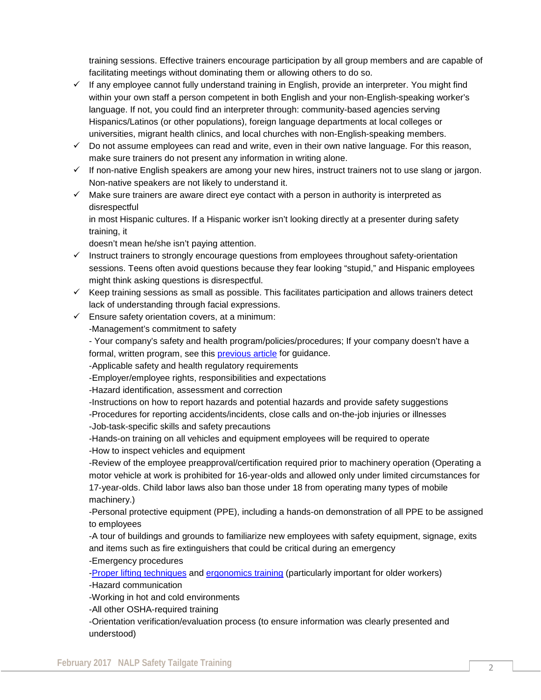training sessions. Effective trainers encourage participation by all group members and are capable of facilitating meetings without dominating them or allowing others to do so.

- $\checkmark$  If any employee cannot fully understand training in English, provide an interpreter. You might find within your own staff a person competent in both English and your non-English-speaking worker's language. If not, you could find an interpreter through: community-based agencies serving Hispanics/Latinos (or other populations), foreign language departments at local colleges or universities, migrant health clinics, and local churches with non-English-speaking members.
- **July 2011 © 2011 PLANET** make sure trainers do not present any information in writing alone.  $\checkmark$  Do not assume employees can read and write, even in their own native language. For this reason,
	- $\checkmark$  If non-native English speakers are among your new hires, instruct trainers not to use slang or jargon. Non-native speakers are not likely to understand it.
	- $\checkmark$  Make sure trainers are aware direct eye contact with a person in authority is interpreted as disrespectful

in most Hispanic cultures. If a Hispanic worker isn't looking directly at a presenter during safety training, it

doesn't mean he/she isn't paying attention.

- $\checkmark$  Instruct trainers to strongly encourage questions from employees throughout safety-orientation sessions. Teens often avoid questions because they fear looking "stupid," and Hispanic employees might think asking questions is disrespectful.
- $\checkmark$  Keep training sessions as small as possible. This facilitates participation and allows trainers detect lack of understanding through facial expressions.
- $\checkmark$  Ensure safety orientation covers, at a minimum:

-Management's commitment to safety

- Your company's safety and health program/policies/procedures; If your company doesn't have a formal, written program, see this [previous article](https://www.landscapeprofessionals.org/images/nalpftp/nalp/safety/documents/feb16-safety-sense.pdf) for guidance.

-Applicable safety and health regulatory requirements

-Employer/employee rights, responsibilities and expectations

-Hazard identification, assessment and correction

-Instructions on how to report hazards and potential hazards and provide safety suggestions

-Procedures for reporting accidents/incidents, close calls and on-the-job injuries or illnesses

-Job-task-specific skills and safety precautions

-Hands-on training on all vehicles and equipment employees will be required to operate

-How to inspect vehicles and equipment

-Review of the employee preapproval/certification required prior to machinery operation (Operating a motor vehicle at work is prohibited for 16-year-olds and allowed only under limited circumstances for 17-year-olds. Child labor laws also ban those under 18 from operating many types of mobile machinery.)

-Personal protective equipment (PPE), including a hands-on demonstration of all PPE to be assigned to employees

-A tour of buildings and grounds to familiarize new employees with safety equipment, signage, exits and items such as fire extinguishers that could be critical during an emergency

-Emergency procedures

[-Proper lifting techniques](https://www.landscapeprofessionals.org/riskmgmt/ssense/Mar09.pdf) and [ergonomics training](https://www.landscapeprofessionals.org/riskmgmt/ssense/October11.pdf) (particularly important for older workers) -Hazard communication

-Working in hot and cold environments

-All other OSHA-required training

-Orientation verification/evaluation process (to ensure information was clearly presented and understood)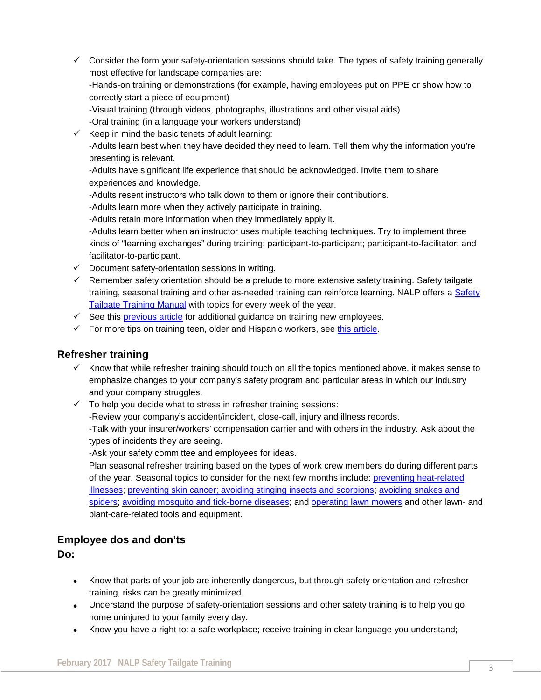- $\checkmark$  Consider the form your safety-orientation sessions should take. The types of safety training generally most effective for landscape companies are: -Hands-on training or demonstrations (for example, having employees put on PPE or show how to correctly start a piece of equipment) -Visual training (through videos, photographs, illustrations and other visual aids) -Oral training (in a language your workers understand)
- -Adults learn best when they have decided they need to learn. Tell them why the information you're<br>presenting is relevant  $\checkmark$  Keep in mind the basic tenets of adult learning: presenting is relevant.

-Adults have significant life experience that should be acknowledged. Invite them to share experiences and knowledge.

- -Adults resent instructors who talk down to them or ignore their contributions.
- -Adults learn more when they actively participate in training.
- -Adults retain more information when they immediately apply it.

-Adults learn better when an instructor uses multiple teaching techniques. Try to implement three kinds of "learning exchanges" during training: participant-to-participant; participant-to-facilitator; and facilitator-to-participant.

- $\checkmark$  Document safety-orientation sessions in writing.
- $\checkmark$  Remember safety orientation should be a prelude to more extensive safety training. Safety tailgate training, seasonal training and other as-needed training can reinforce learning. NALP offers a [Safety](https://www.landscapeprofessionals.org/nalp/bookstore/ab-0049.aspx)  [Tailgate Training Manual](https://www.landscapeprofessionals.org/nalp/bookstore/ab-0049.aspx) with topics for every week of the year.
- $\checkmark$  See this [previous article](https://www.landscapeprofessionals.org/riskmgmt/ssense/Apr13.pdf) for additional guidance on training new employees.
- $\checkmark$  For more tips on training teen, older and Hispanic workers, see [this article.](https://www.landscapeprofessionals.org/riskmgmt/ssense/June10.pdf)

### **Refresher training**

- $\checkmark$  Know that while refresher training should touch on all the topics mentioned above, it makes sense to emphasize changes to your company's safety program and particular areas in which our industry and your company struggles.
- $\checkmark$  To help you decide what to stress in refresher training sessions:
	- -Review your company's accident/incident, close-call, injury and illness records.

-Talk with your insurer/workers' compensation carrier and with others in the industry. Ask about the types of incidents they are seeing.

-Ask your safety committee and employees for ideas.

Plan seasonal refresher training based on the types of work crew members do during different parts of the year. Seasonal topics to consider for the next few months include: [preventing heat-related](https://www.landscapeprofessionals.org/riskmgmt/ssense/Jun12.pdf)  [illnesses;](https://www.landscapeprofessionals.org/riskmgmt/ssense/Jun12.pdf) [preventing skin cancer; avoiding stinging insects and scorpions; avoiding snakes and](https://www.landscapeprofessionals.org/riskmgmt/ssense/Apr09.pdf)  [spiders;](https://www.landscapeprofessionals.org/riskmgmt/ssense/Apr09.pdf) [avoiding mosquito and tick-borne diseases;](https://www.landscapeprofessionals.org/riskmgmt/ssense/Sept13.pdf) and [operating lawn mowers](https://www.landscapeprofessionals.org/riskmgmt/ssense/Apr09.pdf) and other lawn- and [plant-care-related tools and equipment.](https://www.landscapeprofessionals.org/riskmgmt/ssense/Apr09.pdf)

### **Employee dos and don'ts**

**Do:**

- Know that parts of your job are inherently dangerous, but through safety orientation and refresher training, risks can be greatly minimized.
- Understand the purpose of safety-orientation sessions and other safety training is to help you go home uninjured to your family every day.
- Know you have a right to: a safe workplace; receive training in clear language you understand;